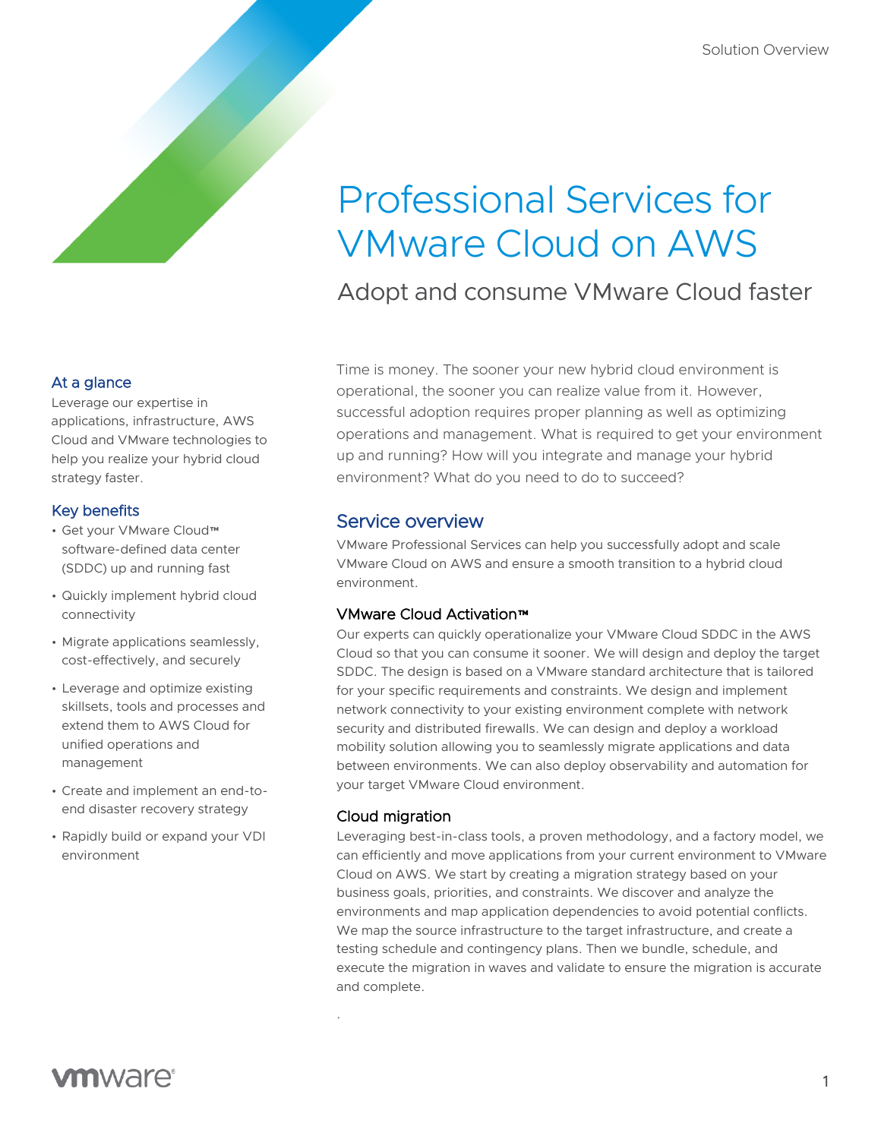# Professional Services for VMware Cloud on AWS

Adopt and consume VMware Cloud faster

#### At a glance

Leverage our expertise in applications, infrastructure, AWS Cloud and VMware technologies to help you realize your hybrid cloud strategy faster.

## Key benefits

- Get your VMware Cloud™ software-defined data center (SDDC) up and running fast
- Quickly implement hybrid cloud connectivity
- Migrate applications seamlessly, cost-effectively, and securely
- Leverage and optimize existing skillsets, tools and processes and extend them to AWS Cloud for unified operations and management
- Create and implement an end-toend disaster recovery strategy
- Rapidly build or expand your VDI environment

Time is money. The sooner your new hybrid cloud environment is operational, the sooner you can realize value from it. However, successful adoption requires proper planning as well as optimizing operations and management. What is required to get your environment up and running? How will you integrate and manage your hybrid environment? What do you need to do to succeed?

# Service overview

VMware Professional Services can help you successfully adopt and scale VMware Cloud on AWS and ensure a smooth transition to a hybrid cloud environment.

## VMware Cloud Activation™

Our experts can quickly operationalize your VMware Cloud SDDC in the AWS Cloud so that you can consume it sooner. We will design and deploy the target SDDC. The design is based on a VMware standard architecture that is tailored for your specific requirements and constraints. We design and implement network connectivity to your existing environment complete with network security and distributed firewalls. We can design and deploy a workload mobility solution allowing you to seamlessly migrate applications and data between environments. We can also deploy observability and automation for your target VMware Cloud environment.

## Cloud migration

.

Leveraging best-in-class tools, a proven methodology, and a factory model, we can efficiently and move applications from your current environment to VMware Cloud on AWS. We start by creating a migration strategy based on your business goals, priorities, and constraints. We discover and analyze the environments and map application dependencies to avoid potential conflicts. We map the source infrastructure to the target infrastructure, and create a testing schedule and contingency plans. Then we bundle, schedule, and execute the migration in waves and validate to ensure the migration is accurate and complete.